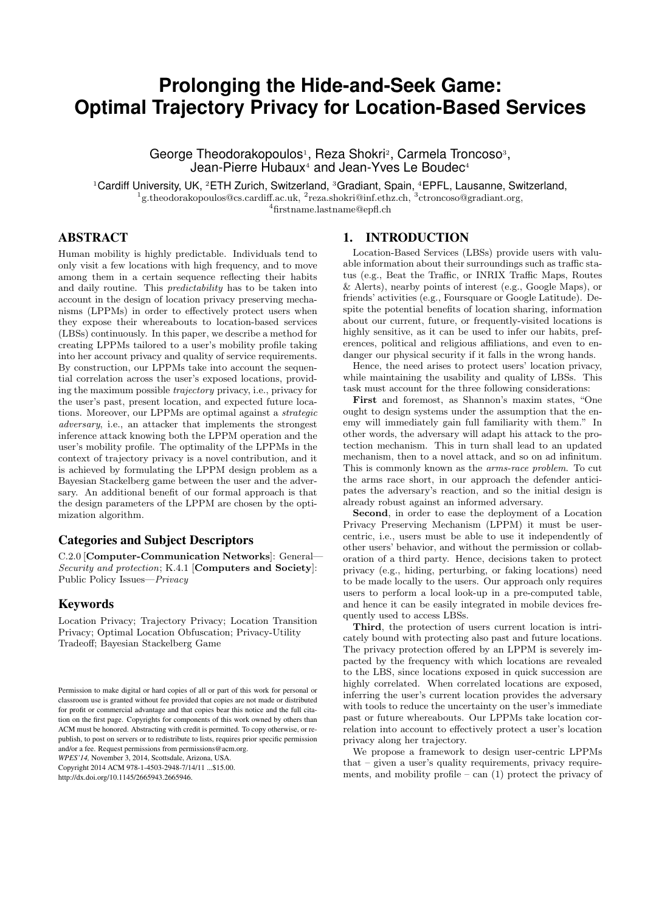# **Prolonging the Hide-and-Seek Game: Optimal Trajectory Privacy for Location-Based Services**

George Theodorakopoulos<sup>1</sup>, Reza Shokri<sup>2</sup>, Carmela Troncoso<sup>3</sup>, Jean-Pierre Hubaux<sup>4</sup> and Jean-Yves Le Boudec<sup>4</sup>

<sup>1</sup>Cardiff University, UK, <sup>2</sup>ETH Zurich, Switzerland, <sup>3</sup>Gradiant, Spain, <sup>4</sup>EPFL, Lausanne, Switzerland, <sup>1</sup>g.theodorakopoulos@cs.cardiff.ac.uk, <sup>2</sup>reza.shokri@inf.ethz.ch, <sup>3</sup>ctroncoso@gradiant.org, <sup>4</sup>firstname.lastname@epfl.ch

# ABSTRACT

Human mobility is highly predictable. Individuals tend to only visit a few locations with high frequency, and to move among them in a certain sequence reflecting their habits and daily routine. This predictability has to be taken into account in the design of location privacy preserving mechanisms (LPPMs) in order to effectively protect users when they expose their whereabouts to location-based services (LBSs) continuously. In this paper, we describe a method for creating LPPMs tailored to a user's mobility profile taking into her account privacy and quality of service requirements. By construction, our LPPMs take into account the sequential correlation across the user's exposed locations, providing the maximum possible trajectory privacy, i.e., privacy for the user's past, present location, and expected future locations. Moreover, our LPPMs are optimal against a strategic adversary, i.e., an attacker that implements the strongest inference attack knowing both the LPPM operation and the user's mobility profile. The optimality of the LPPMs in the context of trajectory privacy is a novel contribution, and it is achieved by formulating the LPPM design problem as a Bayesian Stackelberg game between the user and the adversary. An additional benefit of our formal approach is that the design parameters of the LPPM are chosen by the optimization algorithm.

## Categories and Subject Descriptors

C.2.0 [Computer-Communication Networks]: General— Security and protection; K.4.1 [Computers and Society]: Public Policy Issues—Privacy

## Keywords

Location Privacy; Trajectory Privacy; Location Transition Privacy; Optimal Location Obfuscation; Privacy-Utility Tradeoff; Bayesian Stackelberg Game

*WPES'14,* November 3, 2014, Scottsdale, Arizona, USA.

Copyright 2014 ACM 978-1-4503-2948-7/14/11 ...\$15.00.

http://dx.doi.org/10.1145/2665943.2665946.

#### 1. INTRODUCTION

Location-Based Services (LBSs) provide users with valuable information about their surroundings such as traffic status (e.g., Beat the Traffic, or INRIX Traffic Maps, Routes & Alerts), nearby points of interest (e.g., Google Maps), or friends' activities (e.g., Foursquare or Google Latitude). Despite the potential benefits of location sharing, information about our current, future, or frequently-visited locations is highly sensitive, as it can be used to infer our habits, preferences, political and religious affiliations, and even to endanger our physical security if it falls in the wrong hands.

Hence, the need arises to protect users' location privacy, while maintaining the usability and quality of LBSs. This task must account for the three following considerations:

First and foremost, as Shannon's maxim states, "One ought to design systems under the assumption that the enemy will immediately gain full familiarity with them." In other words, the adversary will adapt his attack to the protection mechanism. This in turn shall lead to an updated mechanism, then to a novel attack, and so on ad infinitum. This is commonly known as the arms-race problem. To cut the arms race short, in our approach the defender anticipates the adversary's reaction, and so the initial design is already robust against an informed adversary.

Second, in order to ease the deployment of a Location Privacy Preserving Mechanism (LPPM) it must be usercentric, i.e., users must be able to use it independently of other users' behavior, and without the permission or collaboration of a third party. Hence, decisions taken to protect privacy (e.g., hiding, perturbing, or faking locations) need to be made locally to the users. Our approach only requires users to perform a local look-up in a pre-computed table, and hence it can be easily integrated in mobile devices frequently used to access LBSs.

Third, the protection of users current location is intricately bound with protecting also past and future locations. The privacy protection offered by an LPPM is severely impacted by the frequency with which locations are revealed to the LBS, since locations exposed in quick succession are highly correlated. When correlated locations are exposed, inferring the user's current location provides the adversary with tools to reduce the uncertainty on the user's immediate past or future whereabouts. Our LPPMs take location correlation into account to effectively protect a user's location privacy along her trajectory.

We propose a framework to design user-centric LPPMs that – given a user's quality requirements, privacy requirements, and mobility profile – can  $(1)$  protect the privacy of

Permission to make digital or hard copies of all or part of this work for personal or classroom use is granted without fee provided that copies are not made or distributed for profit or commercial advantage and that copies bear this notice and the full citation on the first page. Copyrights for components of this work owned by others than ACM must be honored. Abstracting with credit is permitted. To copy otherwise, or republish, to post on servers or to redistribute to lists, requires prior specific permission and/or a fee. Request permissions from permissions@acm.org.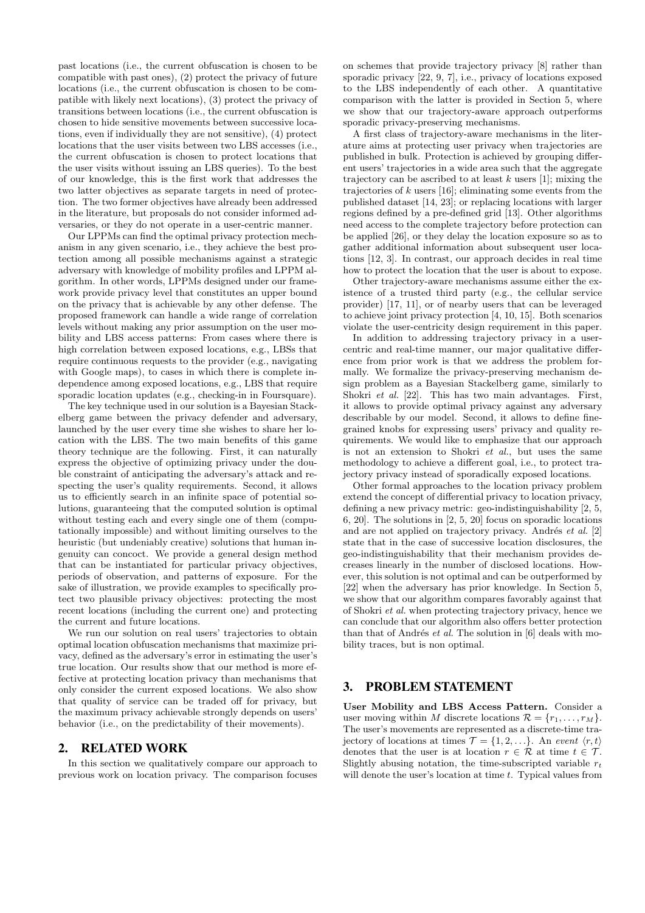past locations (i.e., the current obfuscation is chosen to be compatible with past ones), (2) protect the privacy of future locations (i.e., the current obfuscation is chosen to be compatible with likely next locations), (3) protect the privacy of transitions between locations (i.e., the current obfuscation is chosen to hide sensitive movements between successive locations, even if individually they are not sensitive), (4) protect locations that the user visits between two LBS accesses (i.e., the current obfuscation is chosen to protect locations that the user visits without issuing an LBS queries). To the best of our knowledge, this is the first work that addresses the two latter objectives as separate targets in need of protection. The two former objectives have already been addressed in the literature, but proposals do not consider informed adversaries, or they do not operate in a user-centric manner.

Our LPPMs can find the optimal privacy protection mechanism in any given scenario, i.e., they achieve the best protection among all possible mechanisms against a strategic adversary with knowledge of mobility profiles and LPPM algorithm. In other words, LPPMs designed under our framework provide privacy level that constitutes an upper bound on the privacy that is achievable by any other defense. The proposed framework can handle a wide range of correlation levels without making any prior assumption on the user mobility and LBS access patterns: From cases where there is high correlation between exposed locations, e.g., LBSs that require continuous requests to the provider (e.g., navigating with Google maps), to cases in which there is complete independence among exposed locations, e.g., LBS that require sporadic location updates (e.g., checking-in in Foursquare).

The key technique used in our solution is a Bayesian Stackelberg game between the privacy defender and adversary, launched by the user every time she wishes to share her location with the LBS. The two main benefits of this game theory technique are the following. First, it can naturally express the objective of optimizing privacy under the double constraint of anticipating the adversary's attack and respecting the user's quality requirements. Second, it allows us to efficiently search in an infinite space of potential solutions, guaranteeing that the computed solution is optimal without testing each and every single one of them (computationally impossible) and without limiting ourselves to the heuristic (but undeniably creative) solutions that human ingenuity can concoct. We provide a general design method that can be instantiated for particular privacy objectives, periods of observation, and patterns of exposure. For the sake of illustration, we provide examples to specifically protect two plausible privacy objectives: protecting the most recent locations (including the current one) and protecting the current and future locations.

We run our solution on real users' trajectories to obtain optimal location obfuscation mechanisms that maximize privacy, defined as the adversary's error in estimating the user's true location. Our results show that our method is more effective at protecting location privacy than mechanisms that only consider the current exposed locations. We also show that quality of service can be traded off for privacy, but the maximum privacy achievable strongly depends on users' behavior (i.e., on the predictability of their movements).

#### 2. RELATED WORK

In this section we qualitatively compare our approach to previous work on location privacy. The comparison focuses on schemes that provide trajectory privacy [8] rather than sporadic privacy [22, 9, 7], i.e., privacy of locations exposed to the LBS independently of each other. A quantitative comparison with the latter is provided in Section 5, where we show that our trajectory-aware approach outperforms sporadic privacy-preserving mechanisms.

A first class of trajectory-aware mechanisms in the literature aims at protecting user privacy when trajectories are published in bulk. Protection is achieved by grouping different users' trajectories in a wide area such that the aggregate trajectory can be ascribed to at least  $k$  users [1]; mixing the trajectories of  $k$  users [16]; eliminating some events from the published dataset [14, 23]; or replacing locations with larger regions defined by a pre-defined grid [13]. Other algorithms need access to the complete trajectory before protection can be applied [26], or they delay the location exposure so as to gather additional information about subsequent user locations [12, 3]. In contrast, our approach decides in real time how to protect the location that the user is about to expose.

Other trajectory-aware mechanisms assume either the existence of a trusted third party (e.g., the cellular service provider) [17, 11], or of nearby users that can be leveraged to achieve joint privacy protection [4, 10, 15]. Both scenarios violate the user-centricity design requirement in this paper.

In addition to addressing trajectory privacy in a usercentric and real-time manner, our major qualitative difference from prior work is that we address the problem formally. We formalize the privacy-preserving mechanism design problem as a Bayesian Stackelberg game, similarly to Shokri et al. [22]. This has two main advantages. First, it allows to provide optimal privacy against any adversary describable by our model. Second, it allows to define finegrained knobs for expressing users' privacy and quality requirements. We would like to emphasize that our approach is not an extension to Shokri et al., but uses the same methodology to achieve a different goal, i.e., to protect trajectory privacy instead of sporadically exposed locations.

Other formal approaches to the location privacy problem extend the concept of differential privacy to location privacy, defining a new privacy metric: geo-indistinguishability [2, 5, 6, 20]. The solutions in [2, 5, 20] focus on sporadic locations and are not applied on trajectory privacy. Andrés et al.  $[2]$ state that in the case of successive location disclosures, the geo-indistinguishability that their mechanism provides decreases linearly in the number of disclosed locations. However, this solution is not optimal and can be outperformed by [22] when the adversary has prior knowledge. In Section 5, we show that our algorithm compares favorably against that of Shokri et al. when protecting trajectory privacy, hence we can conclude that our algorithm also offers better protection than that of Andrés et al. The solution in  $[6]$  deals with mobility traces, but is non optimal.

## 3. PROBLEM STATEMENT

User Mobility and LBS Access Pattern. Consider a user moving within M discrete locations  $\mathcal{R} = \{r_1, \ldots, r_M\}.$ The user's movements are represented as a discrete-time trajectory of locations at times  $\mathcal{T} = \{1, 2, ...\}$ . An event  $\langle r, t \rangle$ denotes that the user is at location  $r \in \mathcal{R}$  at time  $t \in \mathcal{T}$ . Slightly abusing notation, the time-subscripted variable  $r_t$ will denote the user's location at time  $t$ . Typical values from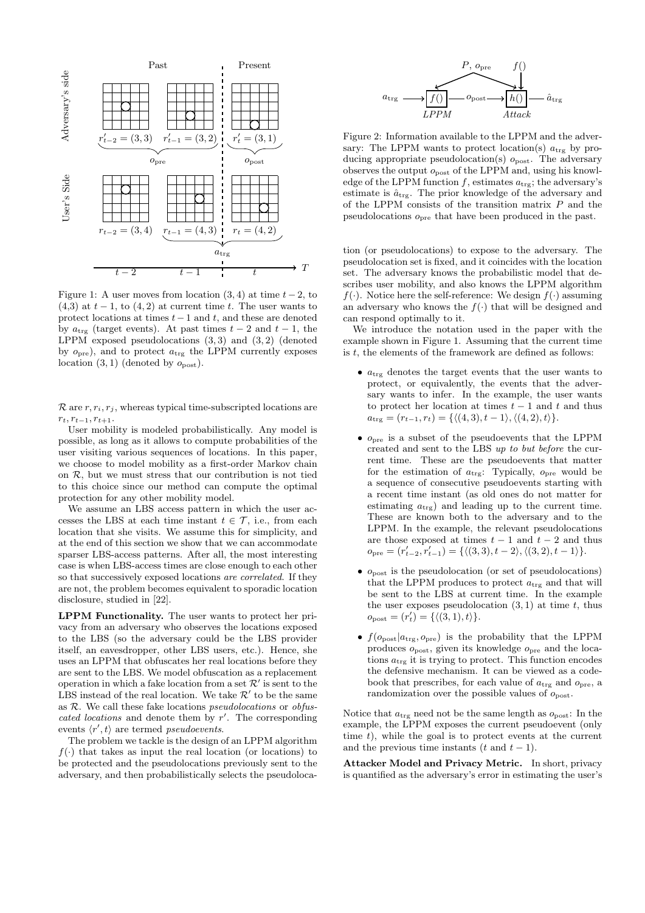

Figure 1: A user moves from location  $(3, 4)$  at time  $t - 2$ , to  $(4,3)$  at  $t-1$ , to  $(4,2)$  at current time t. The user wants to protect locations at times  $t-1$  and  $t$ , and these are denoted by  $a_{\text{trg}}$  (target events). At past times  $t-2$  and  $t-1$ , the LPPM exposed pseudolocations  $(3,3)$  and  $(3,2)$  (denoted by  $o_{pre}$ ), and to protect  $a_{trg}$  the LPPM currently exposes location  $(3, 1)$  (denoted by  $o_{\text{post}}$ ).

 $\mathcal R$  are  $r, r_i, r_j$ , whereas typical time-subscripted locations are  $r_t, r_{t-1}, r_{t+1}.$ 

User mobility is modeled probabilistically. Any model is possible, as long as it allows to compute probabilities of the user visiting various sequences of locations. In this paper, we choose to model mobility as a first-order Markov chain on  $R$ , but we must stress that our contribution is not tied to this choice since our method can compute the optimal protection for any other mobility model.

We assume an LBS access pattern in which the user accesses the LBS at each time instant  $t \in \mathcal{T}$ , i.e., from each location that she visits. We assume this for simplicity, and at the end of this section we show that we can accommodate sparser LBS-access patterns. After all, the most interesting case is when LBS-access times are close enough to each other so that successively exposed locations are correlated. If they are not, the problem becomes equivalent to sporadic location disclosure, studied in [22].

LPPM Functionality. The user wants to protect her privacy from an adversary who observes the locations exposed to the LBS (so the adversary could be the LBS provider itself, an eavesdropper, other LBS users, etc.). Hence, she uses an LPPM that obfuscates her real locations before they are sent to the LBS. We model obfuscation as a replacement operation in which a fake location from a set  $\mathcal{R}'$  is sent to the LBS instead of the real location. We take  $\mathcal{R}'$  to be the same as  $R$ . We call these fake locations *pseudolocations* or *obfus*cated locations and denote them by  $r'$ . The corresponding events  $\langle r', t \rangle$  are termed *pseudoevents*.

The problem we tackle is the design of an LPPM algorithm  $f(.)$  that takes as input the real location (or locations) to be protected and the pseudolocations previously sent to the adversary, and then probabilistically selects the pseudoloca-



Figure 2: Information available to the LPPM and the adversary: The LPPM wants to protect location(s)  $a_{\text{trg}}$  by producing appropriate pseudolocation(s)  $o_{\text{post}}$ . The adversary observes the output opost of the LPPM and, using his knowledge of the LPPM function f, estimates  $a_{\text{trg}}$ ; the adversary's estimate is  $\hat{a}_{\text{trg}}$ . The prior knowledge of the adversary and of the LPPM consists of the transition matrix  $P$  and the pseudolocations  $o_{pre}$  that have been produced in the past.

tion (or pseudolocations) to expose to the adversary. The pseudolocation set is fixed, and it coincides with the location set. The adversary knows the probabilistic model that describes user mobility, and also knows the LPPM algorithm  $f(\cdot)$ . Notice here the self-reference: We design  $f(\cdot)$  assuming an adversary who knows the  $f(.)$  that will be designed and can respond optimally to it.

We introduce the notation used in the paper with the example shown in Figure 1. Assuming that the current time is  $t$ , the elements of the framework are defined as follows:

- $\bullet$   $\,a_{\rm trg}$  denotes the target events that the user wants to protect, or equivalently, the events that the adversary wants to infer. In the example, the user wants to protect her location at times  $t - 1$  and thus  $a_{\text{trg}} = (r_{t-1}, r_t) = \{ \langle (4, 3), t - 1 \rangle, \langle (4, 2), t \rangle \}.$
- $\bullet$   $o_{\text{pre}}$  is a subset of the pseudoevents that the LPPM created and sent to the LBS up to but before the current time. These are the pseudoevents that matter for the estimation of  $a_{\text{trg}}$ : Typically,  $o_{\text{pre}}$  would be a sequence of consecutive pseudoevents starting with a recent time instant (as old ones do not matter for estimating  $a_{\text{trg}}$  and leading up to the current time. These are known both to the adversary and to the LPPM. In the example, the relevant pseudolocations are those exposed at times  $t - 1$  and  $t - 2$  and thus  $o_{pre} = (r'_{t-2}, r'_{t-1}) = \{ \langle (3, 3), t - 2 \rangle, \langle (3, 2), t - 1 \rangle \}.$
- $o_{\text{post}}$  is the pseudolocation (or set of pseudolocations) that the LPPM produces to protect  $a_{\text{trg}}$  and that will be sent to the LBS at current time. In the example the user exposes pseudolocation  $(3, 1)$  at time t, thus  $o_{\text{post}} = (r'_t) = \{ \langle (3, 1), t \rangle \}.$
- $f(o_{\text{post}}|a_{\text{trg}}, o_{\text{pre}})$  is the probability that the LPPM produces  $o_{\text{post}}$ , given its knowledge  $o_{\text{pre}}$  and the locations  $a_{\text{tr}g}$  it is trying to protect. This function encodes the defensive mechanism. It can be viewed as a codebook that prescribes, for each value of  $a_{\text{trg}}$  and  $o_{\text{pre}}$ , a randomization over the possible values of  $o_{\text{post}}$ .

Notice that  $a_{\text{trg}}$  need not be the same length as  $o_{\text{post}}$ : In the example, the LPPM exposes the current pseudoevent (only time  $t$ ), while the goal is to protect events at the current and the previous time instants  $(t \text{ and } t-1)$ .

Attacker Model and Privacy Metric. In short, privacy is quantified as the adversary's error in estimating the user's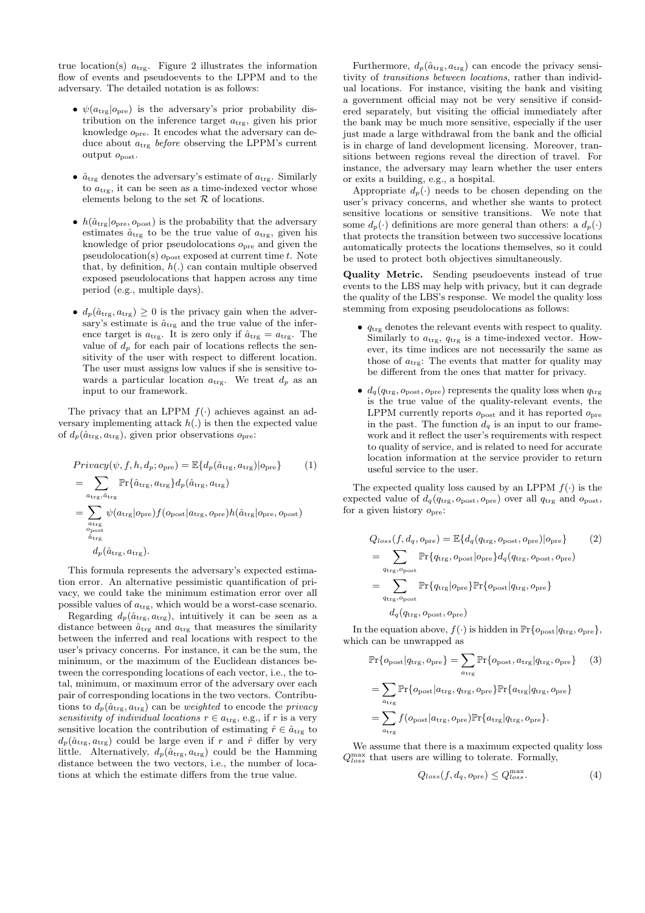true location(s)  $a_{\text{trg}}$ . Figure 2 illustrates the information flow of events and pseudoevents to the LPPM and to the adversary. The detailed notation is as follows:

- $\psi(a_{\text{trg}}|o_{\text{pre}})$  is the adversary's prior probability distribution on the inference target  $a_{\text{trg}}$ , given his prior knowledge  $o_{pre}$ . It encodes what the adversary can deduce about  $a_{\text{trg}}$  before observing the LPPM's current output  $o_{\text{post}}$ .
- $\hat{a}_{\text{trg}}$  denotes the adversary's estimate of  $a_{\text{trg}}$ . Similarly to  $a_{\text{tr}x}$ , it can be seen as a time-indexed vector whose elements belong to the set  $R$  of locations.
- $h(\hat{a}_{\text{trg}}|o_{\text{pre}}, o_{\text{post}})$  is the probability that the adversary estimates  $\hat{a}_{\text{trg}}$  to be the true value of  $a_{\text{trg}}$ , given his knowledge of prior pseudolocations opre and given the pseudolocation(s)  $o_{\text{post}}$  exposed at current time t. Note that, by definition,  $h(.)$  can contain multiple observed exposed pseudolocations that happen across any time period (e.g., multiple days).
- $d_p(\hat{a}_{\text{trg}}, a_{\text{trg}}) \geq 0$  is the privacy gain when the adversary's estimate is  $\hat{a}_\text{trg}$  and the true value of the inference target is  $a_{\text{trg}}$ . It is zero only if  $\hat{a}_{\text{trg}} = a_{\text{trg}}$ . The value of  $d_p$  for each pair of locations reflects the sensitivity of the user with respect to different location. The user must assigns low values if she is sensitive towards a particular location  $a_{\text{tr}g}$ . We treat  $d_p$  as an input to our framework.

The privacy that an LPPM  $f(.)$  achieves against an adversary implementing attack  $h(.)$  is then the expected value of  $d_p(\hat{a}_{\text{trg}}, a_{\text{trg}})$ , given prior observations  $o_{\text{pre}}$ :

$$
Privacy(\psi, f, h, d_p; o_{pre}) = \mathbb{E}\{d_p(\hat{a}_{\text{trg}}, a_{\text{trg}})|o_{pre}\}
$$
(1)  
= 
$$
\sum_{a_{\text{trg}}, \hat{a}_{\text{trg}}} \mathbb{Pr}\{\hat{a}_{\text{trg}}, a_{\text{trg}}\} d_p(\hat{a}_{\text{trg}}, a_{\text{trg}})
$$
  
= 
$$
\sum_{a_{\text{trg}} \atop o_{post}} \psi(a_{\text{trg}}|o_{pre}) f(o_{post}|a_{\text{trg}}, o_{pre}) h(\hat{a}_{\text{trg}}|o_{pre}, o_{post})
$$
  

$$
\sum_{a_{\text{trg}} \atop o_{pre}} \psi(a_{\text{trg}}, a_{\text{trg}}).
$$

This formula represents the adversary's expected estimation error. An alternative pessimistic quantification of privacy, we could take the minimum estimation error over all possible values of  $a_{\text{trg}}$ , which would be a worst-case scenario.

Regarding  $d_p(\hat{a}_{\text{trg}}, a_{\text{trg}})$ , intuitively it can be seen as a distance between  $\hat{a}_\text{trg}$  and  $a_\text{trg}$  that measures the similarity between the inferred and real locations with respect to the user's privacy concerns. For instance, it can be the sum, the minimum, or the maximum of the Euclidean distances between the corresponding locations of each vector, i.e., the total, minimum, or maximum error of the adversary over each pair of corresponding locations in the two vectors. Contributions to  $d_p(\hat{a}_{\text{trg}}, a_{\text{trg}})$  can be *weighted* to encode the *privacy* sensitivity of individual locations  $r \in a_{\text{tr}g}$ , e.g., if r is a very sensitive location the contribution of estimating  $\hat{r} \in \hat{a}_{trg}$  to  $d_p(\hat{a}_{\text{trg}}, a_{\text{trg}})$  could be large even if r and  $\hat{r}$  differ by very little. Alternatively,  $d_p(\hat{a}_{\text{trg}}, a_{\text{trg}})$  could be the Hamming distance between the two vectors, i.e., the number of locations at which the estimate differs from the true value.

Furthermore,  $d_p(\hat{a}_{\text{trg}}, a_{\text{trg}})$  can encode the privacy sensitivity of transitions between locations, rather than individual locations. For instance, visiting the bank and visiting a government official may not be very sensitive if considered separately, but visiting the official immediately after the bank may be much more sensitive, especially if the user just made a large withdrawal from the bank and the official is in charge of land development licensing. Moreover, transitions between regions reveal the direction of travel. For instance, the adversary may learn whether the user enters or exits a building, e.g., a hospital.

Appropriate  $d_p(\cdot)$  needs to be chosen depending on the user's privacy concerns, and whether she wants to protect sensitive locations or sensitive transitions. We note that some  $d_p(\cdot)$  definitions are more general than others: a  $d_p(\cdot)$ that protects the transition between two successive locations automatically protects the locations themselves, so it could be used to protect both objectives simultaneously.

Quality Metric. Sending pseudoevents instead of true events to the LBS may help with privacy, but it can degrade the quality of the LBS's response. We model the quality loss stemming from exposing pseudolocations as follows:

- $q_{\text{tr}g}$  denotes the relevant events with respect to quality. Similarly to  $a_{\text{trg}}$ ,  $q_{\text{trg}}$  is a time-indexed vector. However, its time indices are not necessarily the same as those of  $a_{\text{trg}}$ : The events that matter for quality may be different from the ones that matter for privacy.
- $d_q(q_{\text{trg}}, o_{\text{post}}, o_{\text{pre}})$  represents the quality loss when  $q_{\text{trg}}$ is the true value of the quality-relevant events, the LPPM currently reports  $o_{\text{post}}$  and it has reported  $o_{\text{pre}}$ in the past. The function  $d_q$  is an input to our framework and it reflect the user's requirements with respect to quality of service, and is related to need for accurate location information at the service provider to return useful service to the user.

The expected quality loss caused by an LPPM  $f(\cdot)$  is the expected value of  $d_q(q_{\text{trg}}, o_{\text{post}}, o_{\text{pre}})$  over all  $q_{\text{trg}}$  and  $o_{\text{post}}$ , for a given history  $o_{pre}$ :

$$
Q_{loss}(f, d_q, o_{pre}) = \mathbb{E}\{d_q(q_{\text{trg}}, o_{post}, o_{pre})|o_{pre}\}
$$
(2)  
= 
$$
\sum_{q_{\text{trg}}, o_{post}} \mathbb{Pr}\{q_{\text{trg}}, o_{post}|o_{pre}\} d_q(q_{\text{trg}}, o_{post}, o_{pre})
$$
  
= 
$$
\sum_{q_{\text{trg}}, o_{post}} \mathbb{Pr}\{q_{\text{trg}}|o_{pre}\} \mathbb{Pr}\{o_{post}|q_{\text{trg}}, o_{pre}\}
$$
  

$$
d_q(q_{\text{trg}}, o_{post}, o_{pre})
$$

In the equation above,  $f(\cdot)$  is hidden in  $\mathbb{P}\{o_{\text{post}}|q_{\text{trg}}, o_{\text{pre}}\},\$ which can be unwrapped as

$$
\mathbb{P}\{o_{\text{post}}|q_{\text{trg}}, o_{\text{pre}}\} = \sum_{a_{\text{trg}}} \mathbb{P}\{o_{\text{post}}, a_{\text{trg}}|q_{\text{trg}}, o_{\text{pre}}\} \quad (3)
$$

$$
= \sum_{a_{\text{trg}}} \mathbb{P}\{o_{\text{post}}|a_{\text{trg}}, q_{\text{trg}}, o_{\text{pre}}\} \mathbb{P}\{a_{\text{trg}}|q_{\text{trg}}, o_{\text{pre}}\}
$$

$$
= \sum_{a_{\text{trg}}} f(o_{\text{post}}|a_{\text{trg}}, o_{\text{pre}}) \mathbb{P}\{a_{\text{trg}}|q_{\text{trg}}, o_{\text{pre}}\}.
$$

We assume that there is a maximum expected quality loss  $Q_{loss}^{\max}$  that users are willing to tolerate. Formally,

$$
Q_{loss}(f, d_q, o_{\text{pre}}) \le Q_{loss}^{\max}.
$$
 (4)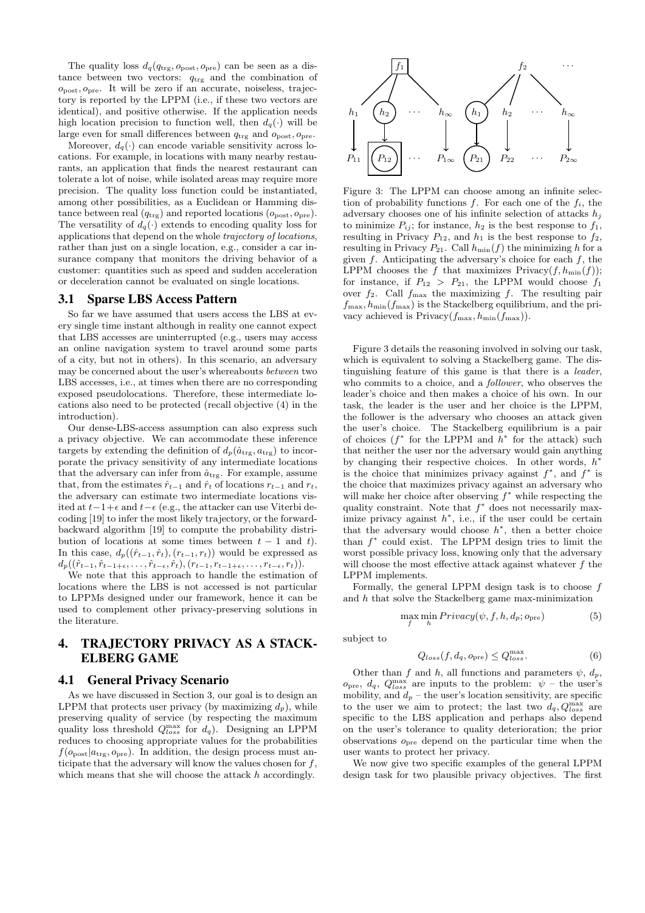The quality loss  $d_q(q_{\text{trg}}, o_{\text{post}}, o_{\text{pre}})$  can be seen as a distance between two vectors:  $q_{\text{trg}}$  and the combination of  $o_{\text{post}}$ ,  $o_{\text{pre}}$ . It will be zero if an accurate, noiseless, trajectory is reported by the LPPM (i.e., if these two vectors are identical), and positive otherwise. If the application needs high location precision to function well, then  $d_q(\cdot)$  will be large even for small differences between  $q_{\text{trg}}$  and  $o_{\text{post}}$ ,  $o_{\text{pre}}$ .

Moreover,  $d_q(\cdot)$  can encode variable sensitivity across locations. For example, in locations with many nearby restaurants, an application that finds the nearest restaurant can tolerate a lot of noise, while isolated areas may require more precision. The quality loss function could be instantiated, among other possibilities, as a Euclidean or Hamming distance between real  $(q_{\text{trg}})$  and reported locations  $(o_{\text{post}}, o_{\text{pre}})$ . The versatility of  $d_q(\cdot)$  extends to encoding quality loss for applications that depend on the whole trajectory of locations, rather than just on a single location, e.g., consider a car insurance company that monitors the driving behavior of a customer: quantities such as speed and sudden acceleration or deceleration cannot be evaluated on single locations.

#### 3.1 Sparse LBS Access Pattern

So far we have assumed that users access the LBS at every single time instant although in reality one cannot expect that LBS accesses are uninterrupted (e.g., users may access an online navigation system to travel around some parts of a city, but not in others). In this scenario, an adversary may be concerned about the user's whereabouts between two LBS accesses, i.e., at times when there are no corresponding exposed pseudolocations. Therefore, these intermediate locations also need to be protected (recall objective (4) in the introduction).

Our dense-LBS-access assumption can also express such a privacy objective. We can accommodate these inference targets by extending the definition of  $d_p(\hat{a}_{\text{trg}}, a_{\text{trg}})$  to incorporate the privacy sensitivity of any intermediate locations that the adversary can infer from  $\hat{a}_{\text{trg}}$ . For example, assume that, from the estimates  $\hat{r}_{t-1}$  and  $\hat{r}_t$  of locations  $r_{t-1}$  and  $r_t$ , the adversary can estimate two intermediate locations visited at  $t-1+\epsilon$  and  $t-\epsilon$  (e.g., the attacker can use Viterbi decoding [19] to infer the most likely trajectory, or the forwardbackward algorithm [19] to compute the probability distribution of locations at some times between  $t - 1$  and t). In this case,  $d_p((\hat{r}_{t-1}, \hat{r}_t), (r_{t-1}, r_t))$  would be expressed as  $d_p((\hat{r}_{t-1}, \hat{r}_{t-1+\epsilon}, \ldots, \hat{r}_{t-\epsilon}, \hat{r}_t), (r_{t-1}, r_{t-1+\epsilon}, \ldots, r_{t-\epsilon}, r_t)).$ 

We note that this approach to handle the estimation of locations where the LBS is not accessed is not particular to LPPMs designed under our framework, hence it can be used to complement other privacy-preserving solutions in the literature.

# 4. TRAJECTORY PRIVACY AS A STACK-ELBERG GAME

#### 4.1 General Privacy Scenario

As we have discussed in Section 3, our goal is to design an LPPM that protects user privacy (by maximizing  $d_p$ ), while preserving quality of service (by respecting the maximum quality loss threshold  $Q_{loss}^{\max}$  for  $d_q$ ). Designing an LPPM reduces to choosing appropriate values for the probabilities  $f(o_{\text{post}}|a_{\text{trg}}, o_{\text{pre}})$ . In addition, the design process must anticipate that the adversary will know the values chosen for  $f$ , which means that she will choose the attack h accordingly.



Figure 3: The LPPM can choose among an infinite selection of probability functions f. For each one of the  $f_i$ , the adversary chooses one of his infinite selection of attacks  $h_i$ to minimize  $P_{ij}$ ; for instance,  $h_2$  is the best response to  $f_1$ , resulting in Privacy  $P_{12}$ , and  $h_1$  is the best response to  $f_2$ , resulting in Privacy  $P_{21}$ . Call  $h_{\min}(f)$  the minimizing h for a given  $f$ . Anticipating the adversary's choice for each  $f$ , the LPPM chooses the f that maximizes Privacy(f,  $h_{\min}(f)$ ); for instance, if  $P_{12} > P_{21}$ , the LPPM would choose  $f_1$ over  $f_2$ . Call  $f_{\text{max}}$  the maximizing f. The resulting pair  $f_{\text{max}}, h_{\text{min}}(f_{\text{max}})$  is the Stackelberg equilibrium, and the privacy achieved is  $Privacy(f<sub>max</sub>, h<sub>min</sub>(f<sub>max</sub>)).$ 

Figure 3 details the reasoning involved in solving our task, which is equivalent to solving a Stackelberg game. The distinguishing feature of this game is that there is a leader, who commits to a choice, and a *follower*, who observes the leader's choice and then makes a choice of his own. In our task, the leader is the user and her choice is the LPPM, the follower is the adversary who chooses an attack given the user's choice. The Stackelberg equilibrium is a pair of choices  $(f^*$  for the LPPM and  $h^*$  for the attack) such that neither the user nor the adversary would gain anything by changing their respective choices. In other words,  $h^*$ is the choice that minimizes privacy against  $f^*$ , and  $f^*$  is the choice that maximizes privacy against an adversary who will make her choice after observing  $f^*$  while respecting the quality constraint. Note that  $f^*$  does not necessarily maximize privacy against  $h^*$ , i.e., if the user could be certain that the adversary would choose  $h^*$ , then a better choice than  $f^*$  could exist. The LPPM design tries to limit the worst possible privacy loss, knowing only that the adversary will choose the most effective attack against whatever  $f$  the LPPM implements.

Formally, the general LPPM design task is to choose  $f$ and  $h$  that solve the Stackelberg game max-minimization

$$
\max_{f} \min_{h} Privacy(\psi, f, h, d_p; o_{pre})
$$
 (5)

subject to

$$
Q_{loss}(f, d_q, o_{\text{pre}}) \le Q_{loss}^{\max}.
$$
 (6)

Other than f and h, all functions and parameters  $\psi$ ,  $d_p$ ,  $o_{\text{pre}}$ ,  $d_q$ ,  $Q_{loss}^{\text{max}}$  are inputs to the problem:  $\psi$  – the user's mobility, and  $d_p$  – the user's location sensitivity, are specific to the user we aim to protect; the last two  $d_q, Q_{loss}^{\max}$  are specific to the LBS application and perhaps also depend on the user's tolerance to quality deterioration; the prior observations  $o_{pre}$  depend on the particular time when the user wants to protect her privacy.

We now give two specific examples of the general LPPM design task for two plausible privacy objectives. The first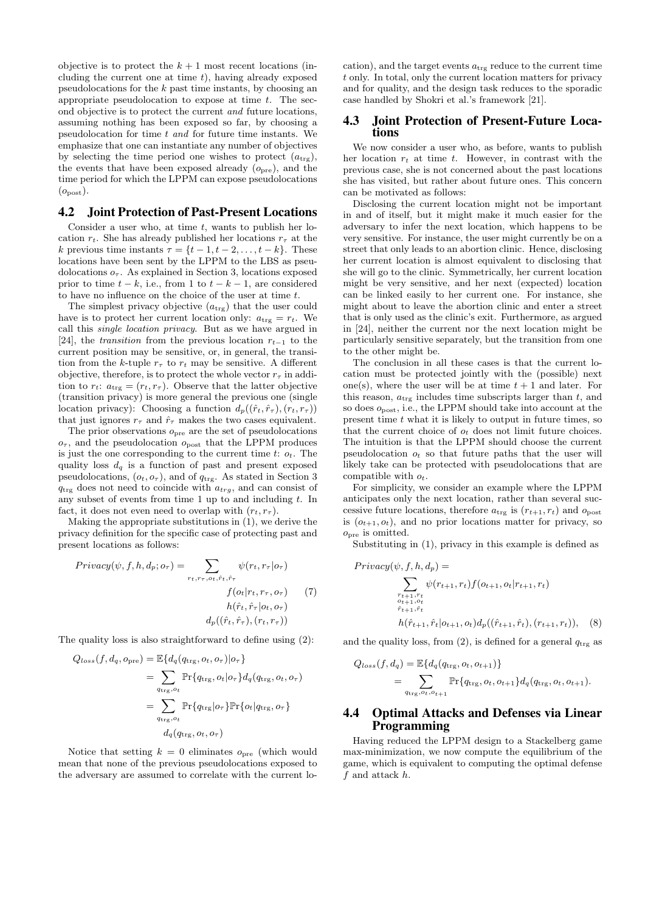objective is to protect the  $k + 1$  most recent locations (including the current one at time  $t$ ), having already exposed pseudolocations for the  $k$  past time instants, by choosing an appropriate pseudolocation to expose at time  $t$ . The second objective is to protect the current and future locations, assuming nothing has been exposed so far, by choosing a pseudolocation for time  $t$  and for future time instants. We emphasize that one can instantiate any number of objectives by selecting the time period one wishes to protect  $(a_{trg})$ , the events that have been exposed already  $(o_{pre})$ , and the time period for which the LPPM can expose pseudolocations  $(o_{\text{post}}).$ 

#### 4.2 Joint Protection of Past-Present Locations

Consider a user who, at time  $t$ , wants to publish her location  $r_t$ . She has already published her locations  $r_{\tau}$  at the k previous time instants  $\tau = \{t-1, t-2, \ldots, t-k\}$ . These locations have been sent by the LPPM to the LBS as pseudolocations  $o_{\tau}$ . As explained in Section 3, locations exposed prior to time  $t - k$ , i.e., from 1 to  $t - k - 1$ , are considered to have no influence on the choice of the user at time t.

The simplest privacy objective  $(a_{trg})$  that the user could have is to protect her current location only:  $a_{\text{trg}} = r_t$ . We call this single location privacy. But as we have argued in [24], the *transition* from the previous location  $r_{t-1}$  to the current position may be sensitive, or, in general, the transition from the k-tuple  $r<sub>\tau</sub>$  to  $r<sub>t</sub>$  may be sensitive. A different objective, therefore, is to protect the whole vector  $r<sub>\tau</sub>$  in addition to  $r_t$ :  $a_{\text{trg}} = (r_t, r_\tau)$ . Observe that the latter objective (transition privacy) is more general the previous one (single location privacy): Choosing a function  $d_p((\hat{r}_t, \hat{r}_\tau), (r_t, r_\tau))$ that just ignores  $r_{\tau}$  and  $\hat{r}_{\tau}$  makes the two cases equivalent.

The prior observations  $o_{\text{pre}}$  are the set of pseudolocations  $o<sub>\tau</sub>$ , and the pseudolocation  $o<sub>post</sub>$  that the LPPM produces is just the one corresponding to the current time  $t: o_t$ . The quality loss  $d_q$  is a function of past and present exposed pseudolocations,  $(o_t, o_\tau)$ , and of  $q_{\text{trg}}$ . As stated in Section 3  $q_{\text{trg}}$  does not need to coincide with  $a_{trg}$ , and can consist of any subset of events from time  $1$  up to and including  $t$ . In fact, it does not even need to overlap with  $(r_t, r_\tau)$ .

Making the appropriate substitutions in (1), we derive the privacy definition for the specific case of protecting past and present locations as follows:

$$
Privacy(\psi, f, h, d_p; o_\tau) = \sum_{r_t, r_\tau, o_t, \hat{r}_t, \hat{r}_\tau} \psi(r_t, r_\tau | o_\tau)
$$
  
\n
$$
f(o_t | r_t, r_\tau, o_\tau) \qquad (7)
$$
  
\n
$$
h(\hat{r}_t, \hat{r}_\tau | o_t, o_\tau)
$$
  
\n
$$
d_p((\hat{r}_t, \hat{r}_\tau), (r_t, r_\tau))
$$

The quality loss is also straightforward to define using (2):

$$
Q_{loss}(f, d_q, o_{pre}) = \mathbb{E}\{d_q(q_{\text{trg}}, o_t, o_\tau)|o_\tau\}
$$
  
= 
$$
\sum_{q_{\text{trg}}, o_t} \mathbb{Pr}\{q_{\text{trg}}, o_t|o_\tau\} d_q(q_{\text{trg}}, o_t, o_\tau)
$$
  
= 
$$
\sum_{q_{\text{trg}}, o_t} \mathbb{Pr}\{q_{\text{trg}}|o_\tau\} \mathbb{Pr}\{o_t|q_{\text{trg}}, o_\tau\}
$$
  

$$
d_q(q_{\text{trg}}, o_t, o_\tau)
$$

Notice that setting  $k = 0$  eliminates  $o_{pre}$  (which would mean that none of the previous pseudolocations exposed to the adversary are assumed to correlate with the current location), and the target events  $a_{\text{trg}}$  reduce to the current time t only. In total, only the current location matters for privacy and for quality, and the design task reduces to the sporadic case handled by Shokri et al.'s framework [21].

#### 4.3 Joint Protection of Present-Future Locations

We now consider a user who, as before, wants to publish her location  $r_t$  at time t. However, in contrast with the previous case, she is not concerned about the past locations she has visited, but rather about future ones. This concern can be motivated as follows:

Disclosing the current location might not be important in and of itself, but it might make it much easier for the adversary to infer the next location, which happens to be very sensitive. For instance, the user might currently be on a street that only leads to an abortion clinic. Hence, disclosing her current location is almost equivalent to disclosing that she will go to the clinic. Symmetrically, her current location might be very sensitive, and her next (expected) location can be linked easily to her current one. For instance, she might about to leave the abortion clinic and enter a street that is only used as the clinic's exit. Furthermore, as argued in [24], neither the current nor the next location might be particularly sensitive separately, but the transition from one to the other might be.

The conclusion in all these cases is that the current location must be protected jointly with the (possible) next one(s), where the user will be at time  $t + 1$  and later. For this reason,  $a_{\text{trg}}$  includes time subscripts larger than  $t$ , and so does  $o_{\text{post}}$ , i.e., the LPPM should take into account at the present time  $t$  what it is likely to output in future times, so that the current choice of  $o_t$  does not limit future choices. The intuition is that the LPPM should choose the current pseudolocation  $o_t$  so that future paths that the user will likely take can be protected with pseudolocations that are compatible with  $o_t$ .

For simplicity, we consider an example where the LPPM anticipates only the next location, rather than several successive future locations, therefore  $a_{\text{trg}}$  is  $(r_{t+1}, r_t)$  and  $o_{\text{post}}$ is  $(o_{t+1}, o_t)$ , and no prior locations matter for privacy, so  $o_\mathrm{pre}$  is omitted.

Substituting in (1), privacy in this example is defined as

$$
Privacy(\psi, f, h, d_p) = \sum_{\substack{r_{t+1}, r_t \\ o_{t+1}, o_t}} \psi(r_{t+1}, r_t) f(o_{t+1}, o_t | r_{t+1}, r_t)
$$
  

$$
\phi_{t+1}, \hat{r}_t
$$
  

$$
h(\hat{r}_{t+1}, \hat{r}_t | o_{t+1}, o_t) d_p((\hat{r}_{t+1}, \hat{r}_t), (r_{t+1}, r_t)), \quad (8)
$$

and the quality loss, from (2), is defined for a general  $q_{\text{trg}}$  as

$$
Q_{loss}(f, d_q) = \mathbb{E}\{d_q(q_{\text{trg}}, o_t, o_{t+1})\}
$$
  
= 
$$
\sum_{q_{\text{trg}}, o_t, o_{t+1}} \mathbb{P}\{q_{\text{trg}}, o_t, o_{t+1}\} d_q(q_{\text{trg}}, o_t, o_{t+1}).
$$

## 4.4 Optimal Attacks and Defenses via Linear Programming

Having reduced the LPPM design to a Stackelberg game max-minimization, we now compute the equilibrium of the game, which is equivalent to computing the optimal defense  $f$  and attack  $h$ .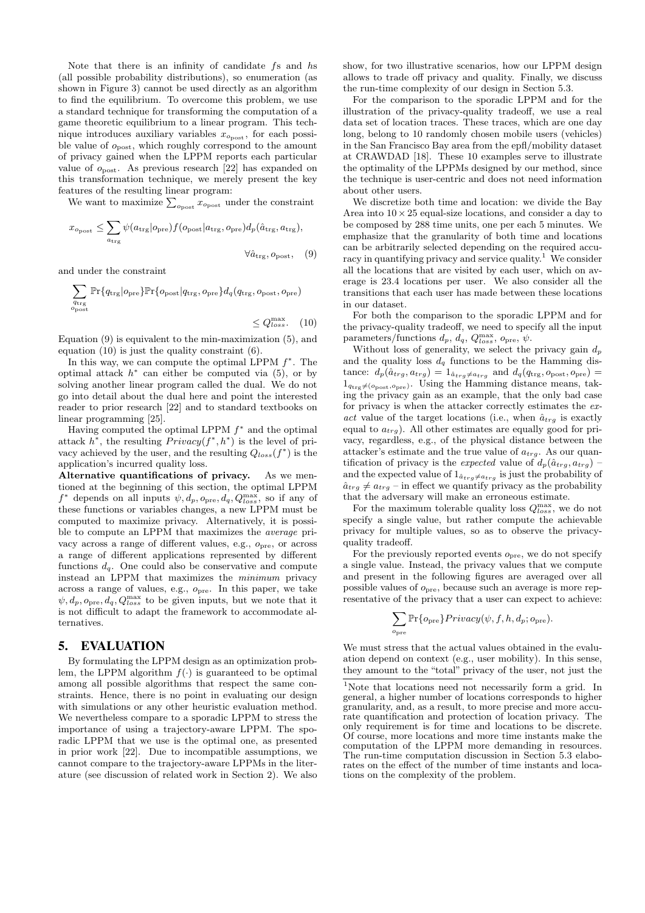Note that there is an infinity of candidate fs and hs (all possible probability distributions), so enumeration (as shown in Figure 3) cannot be used directly as an algorithm to find the equilibrium. To overcome this problem, we use a standard technique for transforming the computation of a game theoretic equilibrium to a linear program. This technique introduces auxiliary variables  $x_{o_{\text{post}}}$ , for each possible value of  $o_{\text{post}}$ , which roughly correspond to the amount of privacy gained when the LPPM reports each particular value of  $o_{\text{post}}$ . As previous research [22] has expanded on this transformation technique, we merely present the key features of the resulting linear program:

We want to maximize  $\sum_{o_{\text{post}}} x_{o_{\text{post}}}$  under the constraint

$$
x_{o_{\text{post}}} \leq \sum_{a_{\text{trg}}} \psi(a_{\text{trg}}|o_{\text{pre}}) f(o_{\text{post}}|a_{\text{trg}}, o_{\text{pre}}) d_p(\hat{a}_{\text{trg}}, a_{\text{trg}}),
$$
  

$$
\forall \hat{a}_{\text{trg}}, o_{\text{post}}, \quad (9)
$$

and under the constraint

$$
\sum_{\substack{q_{\text{trg}} \\ o_{\text{post}}}} \mathbb{P}\{q_{\text{trg}} | o_{\text{pre}}\} \mathbb{P}\{q_{\text{post}} | q_{\text{trg}}, o_{\text{pre}}\} d_q(q_{\text{trg}}, o_{\text{post}}, o_{\text{pre}})
$$

$$
\leq Q_{loss}^{\max}.\quad (10)
$$

Equation (9) is equivalent to the min-maximization (5), and equation  $(10)$  is just the quality constraint  $(6)$ .

In this way, we can compute the optimal LPPM  $f^*$ . The optimal attack  $h^*$  can either be computed via  $(5)$ , or by solving another linear program called the dual. We do not go into detail about the dual here and point the interested reader to prior research [22] and to standard textbooks on linear programming [25].

Having computed the optimal LPPM  $f^*$  and the optimal attack  $h^*$ , the resulting  $Privacy(f^*, h^*)$  is the level of privacy achieved by the user, and the resulting  $Q_{loss}(f^*)$  is the application's incurred quality loss.

Alternative quantifications of privacy. As we mentioned at the beginning of this section, the optimal LPPM  $f^*$  depends on all inputs  $\psi, d_p, o_{pre}, d_q, Q_{loss}^{\max}$ , so if any of these functions or variables changes, a new LPPM must be computed to maximize privacy. Alternatively, it is possible to compute an LPPM that maximizes the average privacy across a range of different values, e.g., opre, or across a range of different applications represented by different functions  $d_q$ . One could also be conservative and compute instead an LPPM that maximizes the minimum privacy across a range of values, e.g., opre. In this paper, we take  $\psi, d_p, o_{pre}, d_q, Q_{loss}^{max}$  to be given inputs, but we note that it is not difficult to adapt the framework to accommodate alternatives.

# 5. EVALUATION

By formulating the LPPM design as an optimization problem, the LPPM algorithm  $f(.)$  is guaranteed to be optimal among all possible algorithms that respect the same constraints. Hence, there is no point in evaluating our design with simulations or any other heuristic evaluation method. We nevertheless compare to a sporadic LPPM to stress the importance of using a trajectory-aware LPPM. The sporadic LPPM that we use is the optimal one, as presented in prior work [22]. Due to incompatible assumptions, we cannot compare to the trajectory-aware LPPMs in the literature (see discussion of related work in Section 2). We also show, for two illustrative scenarios, how our LPPM design allows to trade off privacy and quality. Finally, we discuss the run-time complexity of our design in Section 5.3.

For the comparison to the sporadic LPPM and for the illustration of the privacy-quality tradeoff, we use a real data set of location traces. These traces, which are one day long, belong to 10 randomly chosen mobile users (vehicles) in the San Francisco Bay area from the epfl/mobility dataset at CRAWDAD [18]. These 10 examples serve to illustrate the optimality of the LPPMs designed by our method, since the technique is user-centric and does not need information about other users.

We discretize both time and location: we divide the Bay Area into  $10 \times 25$  equal-size locations, and consider a day to be composed by 288 time units, one per each 5 minutes. We emphasize that the granularity of both time and locations can be arbitrarily selected depending on the required accuracy in quantifying privacy and service quality.<sup>1</sup> We consider all the locations that are visited by each user, which on average is 23.4 locations per user. We also consider all the transitions that each user has made between these locations in our dataset.

For both the comparison to the sporadic LPPM and for the privacy-quality tradeoff, we need to specify all the input parameters/functions  $d_p$ ,  $d_q$ ,  $Q_{loss}^{\max}$ ,  $o_{\text{pre}}$ ,  $\psi$ .

Without loss of generality, we select the privacy gain  $d_p$ and the quality loss  $d_q$  functions to be the Hamming distance:  $d_p(\hat{a}_{trg}, a_{trg}) = 1_{\hat{a}_{trg} \neq a_{trg}}$  and  $d_q(q_{trg}, o_{post}, o_{pre}) =$  $1_{q_{\text{trg}}\neq(o_{\text{post}},o_{\text{pre}})}$ . Using the Hamming distance means, taking the privacy gain as an example, that the only bad case for privacy is when the attacker correctly estimates the exact value of the target locations (i.e., when  $\hat{a}_{trg}$  is exactly equal to  $a_{trg}$ ). All other estimates are equally good for privacy, regardless, e.g., of the physical distance between the attacker's estimate and the true value of  $a_{trg}$ . As our quantification of privacy is the expected value of  $d_p(\hat{a}_{trg}, a_{trg})$  – and the expected value of  $1_{\hat{a}_{trg} \neq a_{trg}}$  is just the probability of  $\hat{a}_{trg} \neq a_{trg}$  – in effect we quantify privacy as the probability that the adversary will make an erroneous estimate.

For the maximum tolerable quality loss  $Q_{loss}^{\max}$ , we do not specify a single value, but rather compute the achievable privacy for multiple values, so as to observe the privacyquality tradeoff.

For the previously reported events  $o_{pre}$ , we do not specify a single value. Instead, the privacy values that we compute and present in the following figures are averaged over all possible values of opre, because such an average is more representative of the privacy that a user can expect to achieve:

$$
\sum_{o_{\text{pre}}} \mathbb{P}\{o_{\text{pre}}\} Privacy(\psi, f, h, d_p; o_{\text{pre}}).
$$

We must stress that the actual values obtained in the evaluation depend on context (e.g., user mobility). In this sense, they amount to the "total" privacy of the user, not just the

<sup>1</sup>Note that locations need not necessarily form a grid. In general, a higher number of locations corresponds to higher granularity, and, as a result, to more precise and more accurate quantification and protection of location privacy. The only requirement is for time and locations to be discrete. Of course, more locations and more time instants make the computation of the LPPM more demanding in resources. The run-time computation discussion in Section 5.3 elaborates on the effect of the number of time instants and locations on the complexity of the problem.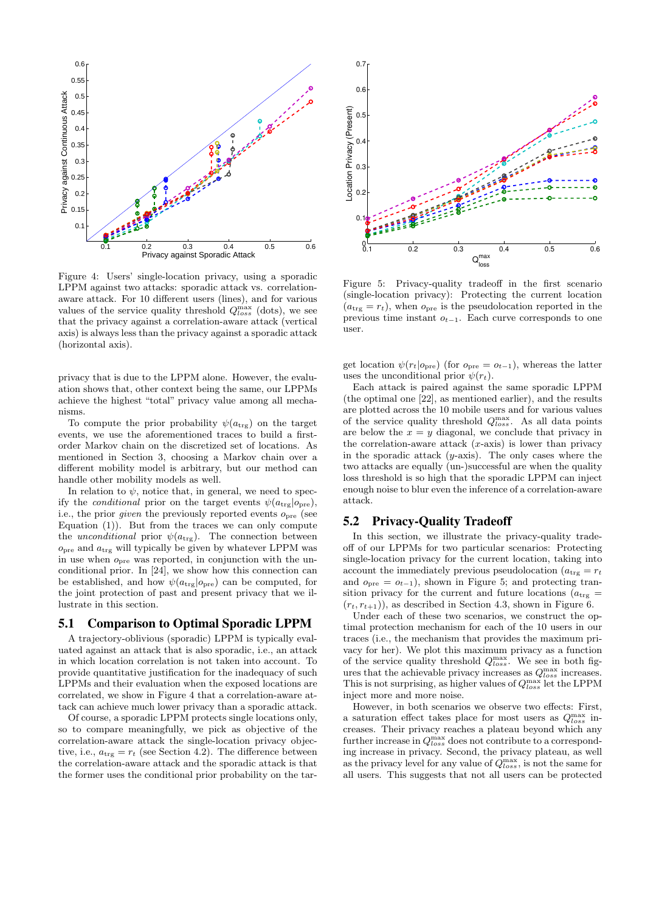

Figure 4: Users' single-location privacy, using a sporadic LPPM against two attacks: sporadic attack vs. correlationaware attack. For 10 different users (lines), and for various values of the service quality threshold  $Q_{loss}^{\max}$  (dots), we see that the privacy against a correlation-aware attack (vertical axis) is always less than the privacy against a sporadic attack (horizontal axis).

privacy that is due to the LPPM alone. However, the evaluation shows that, other context being the same, our LPPMs achieve the highest "total" privacy value among all mechanisms.

To compute the prior probability  $\psi(a_{\text{trg}})$  on the target events, we use the aforementioned traces to build a firstorder Markov chain on the discretized set of locations. As mentioned in Section 3, choosing a Markov chain over a different mobility model is arbitrary, but our method can handle other mobility models as well.

In relation to  $\psi$ , notice that, in general, we need to specify the *conditional* prior on the target events  $\psi(a_{\text{trg}}|o_{\text{pre}})$ , i.e., the prior *given* the previously reported events  $o_{pre}$  (see Equation  $(1)$ ). But from the traces we can only compute the *unconditional* prior  $\psi(a_{\text{trg}})$ . The connection between  $o_{\text{pre}}$  and  $a_{\text{trg}}$  will typically be given by whatever LPPM was in use when  $o_{pre}$  was reported, in conjunction with the unconditional prior. In [24], we show how this connection can be established, and how  $\psi(a_{\text{trg}}|o_{\text{pre}})$  can be computed, for the joint protection of past and present privacy that we illustrate in this section.

# 5.1 Comparison to Optimal Sporadic LPPM

A trajectory-oblivious (sporadic) LPPM is typically evaluated against an attack that is also sporadic, i.e., an attack in which location correlation is not taken into account. To provide quantitative justification for the inadequacy of such LPPMs and their evaluation when the exposed locations are correlated, we show in Figure 4 that a correlation-aware attack can achieve much lower privacy than a sporadic attack.

Of course, a sporadic LPPM protects single locations only, so to compare meaningfully, we pick as objective of the correlation-aware attack the single-location privacy objective, i.e.,  $a_{\text{trg}} = r_t$  (see Section 4.2). The difference between the correlation-aware attack and the sporadic attack is that the former uses the conditional prior probability on the tar-



Figure 5: Privacy-quality tradeoff in the first scenario (single-location privacy): Protecting the current location  $(a_{\text{trg}} = r_t)$ , when  $o_{\text{pre}}$  is the pseudolocation reported in the previous time instant  $o_{t-1}$ . Each curve corresponds to one user.

get location  $\psi(r_t|o_{pre})$  (for  $o_{pre} = o_{t-1}$ ), whereas the latter uses the unconditional prior  $\psi(r_t)$ .

Each attack is paired against the same sporadic LPPM (the optimal one [22], as mentioned earlier), and the results are plotted across the 10 mobile users and for various values of the service quality threshold  $Q_{loss}^{\max}$ . As all data points are below the  $x = y$  diagonal, we conclude that privacy in the correlation-aware attack  $(x\text{-axis})$  is lower than privacy in the sporadic attack  $(y\text{-axis})$ . The only cases where the two attacks are equally (un-)successful are when the quality loss threshold is so high that the sporadic LPPM can inject enough noise to blur even the inference of a correlation-aware attack.

# 5.2 Privacy-Quality Tradeoff

In this section, we illustrate the privacy-quality tradeoff of our LPPMs for two particular scenarios: Protecting single-location privacy for the current location, taking into account the immediately previous pseudolocation ( $a_{\text{trg}} = r_t$ ) and  $o_{pre} = o_{t-1}$ , shown in Figure 5; and protecting transition privacy for the current and future locations ( $a_{\text{trg}} =$  $(r_t, r_{t+1})$ , as described in Section 4.3, shown in Figure 6.

Under each of these two scenarios, we construct the optimal protection mechanism for each of the 10 users in our traces (i.e., the mechanism that provides the maximum privacy for her). We plot this maximum privacy as a function of the service quality threshold  $Q_{loss}^{\max}$ . We see in both figures that the achievable privacy increases as  $Q_{loss}^{\max}$  increases. This is not surprising, as higher values of  $Q_{loss}^{\max}$  let the LPPM inject more and more noise.

However, in both scenarios we observe two effects: First, a saturation effect takes place for most users as  $Q_{loss}^{\max}$  increases. Their privacy reaches a plateau beyond which any further increase in  $Q_{loss}^{\max}$  does not contribute to a corresponding increase in privacy. Second, the privacy plateau, as well as the privacy level for any value of  $Q_{loss}^{\max}$ , is not the same for all users. This suggests that not all users can be protected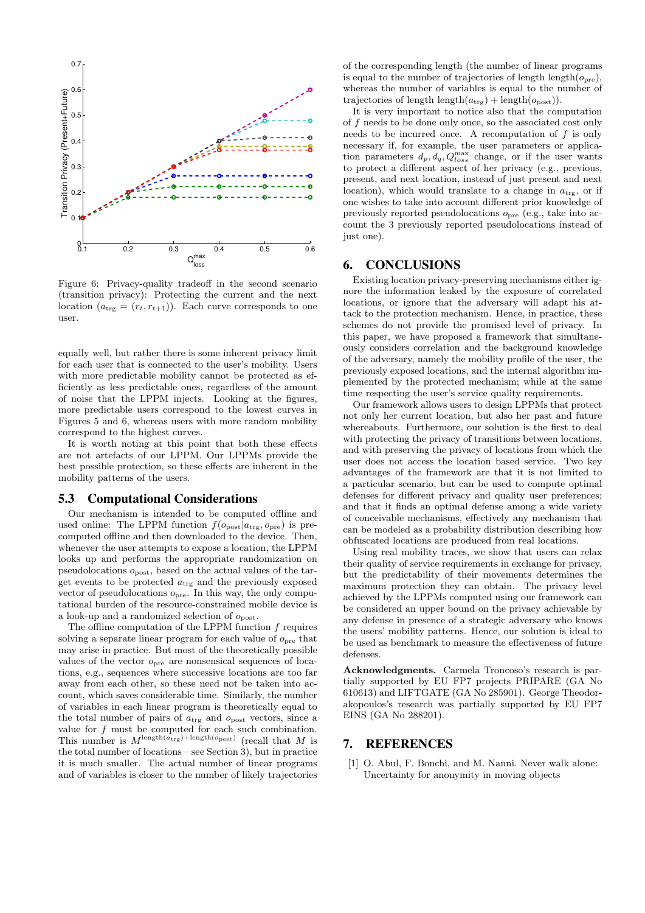

Figure 6: Privacy-quality tradeoff in the second scenario (transition privacy): Protecting the current and the next location  $(a_{\text{trg}} = (r_t, r_{t+1}))$ . Each curve corresponds to one user.

equally well, but rather there is some inherent privacy limit for each user that is connected to the user's mobility. Users with more predictable mobility cannot be protected as efficiently as less predictable ones, regardless of the amount of noise that the LPPM injects. Looking at the figures, more predictable users correspond to the lowest curves in Figures 5 and 6, whereas users with more random mobility correspond to the highest curves.

It is worth noting at this point that both these effects are not artefacts of our LPPM. Our LPPMs provide the best possible protection, so these effects are inherent in the mobility patterns of the users.

#### 5.3 Computational Considerations

Our mechanism is intended to be computed offline and used online: The LPPM function  $f(o_{\text{post}}|a_{\text{trg}}, o_{\text{pre}})$  is precomputed offline and then downloaded to the device. Then, whenever the user attempts to expose a location, the LPPM looks up and performs the appropriate randomization on pseudolocations  $o_{\text{post}}$ , based on the actual values of the target events to be protected  $a_{\text{trg}}$  and the previously exposed vector of pseudolocations  $o_{pre}$ . In this way, the only computational burden of the resource-constrained mobile device is a look-up and a randomized selection of opost.

The offline computation of the LPPM function f requires solving a separate linear program for each value of  $o<sub>pre</sub>$  that may arise in practice. But most of the theoretically possible values of the vector opre are nonsensical sequences of locations, e.g., sequences where successive locations are too far away from each other, so these need not be taken into account, which saves considerable time. Similarly, the number of variables in each linear program is theoretically equal to the total number of pairs of  $a_{\text{tr}g}$  and  $o_{\text{post}}$  vectors, since a value for  $f$  must be computed for each such combination. This number is  $M^{\text{length}(a_{\text{trg}})+\text{length}(o_{\text{post}})}$  (recall that M is the total number of locations – see Section 3), but in practice it is much smaller. The actual number of linear programs and of variables is closer to the number of likely trajectories of the corresponding length (the number of linear programs is equal to the number of trajectories of length length $(o_{pre})$ , whereas the number of variables is equal to the number of trajectories of length length $(a_{\text{trg}})$  + length $(o_{\text{post}})$ ).

It is very important to notice also that the computation of  $f$  needs to be done only once, so the associated cost only needs to be incurred once. A recomputation of  $f$  is only necessary if, for example, the user parameters or application parameters  $d_p, d_q, Q_{loss}^{\max}$  change, or if the user wants to protect a different aspect of her privacy (e.g., previous, present, and next location, instead of just present and next location), which would translate to a change in  $a_{\text{trg}}$ , or if one wishes to take into account different prior knowledge of previously reported pseudolocations  $o_{\text{pre}}$  (e.g., take into account the 3 previously reported pseudolocations instead of just one).

## 6. CONCLUSIONS

Existing location privacy-preserving mechanisms either ignore the information leaked by the exposure of correlated locations, or ignore that the adversary will adapt his attack to the protection mechanism. Hence, in practice, these schemes do not provide the promised level of privacy. In this paper, we have proposed a framework that simultaneously considers correlation and the background knowledge of the adversary, namely the mobility profile of the user, the previously exposed locations, and the internal algorithm implemented by the protected mechanism; while at the same time respecting the user's service quality requirements.

Our framework allows users to design LPPMs that protect not only her current location, but also her past and future whereabouts. Furthermore, our solution is the first to deal with protecting the privacy of transitions between locations, and with preserving the privacy of locations from which the user does not access the location based service. Two key advantages of the framework are that it is not limited to a particular scenario, but can be used to compute optimal defenses for different privacy and quality user preferences; and that it finds an optimal defense among a wide variety of conceivable mechanisms, effectively any mechanism that can be modeled as a probability distribution describing how obfuscated locations are produced from real locations.

Using real mobility traces, we show that users can relax their quality of service requirements in exchange for privacy, but the predictability of their movements determines the maximum protection they can obtain. The privacy level achieved by the LPPMs computed using our framework can be considered an upper bound on the privacy achievable by any defense in presence of a strategic adversary who knows the users' mobility patterns. Hence, our solution is ideal to be used as benchmark to measure the effectiveness of future defenses.

Acknowledgments. Carmela Troncoso's research is partially supported by EU FP7 projects PRIPARE (GA No 610613) and LIFTGATE (GA No 285901). George Theodorakopoulos's research was partially supported by EU FP7 EINS (GA No 288201).

## 7. REFERENCES

[1] O. Abul, F. Bonchi, and M. Nanni. Never walk alone: Uncertainty for anonymity in moving objects